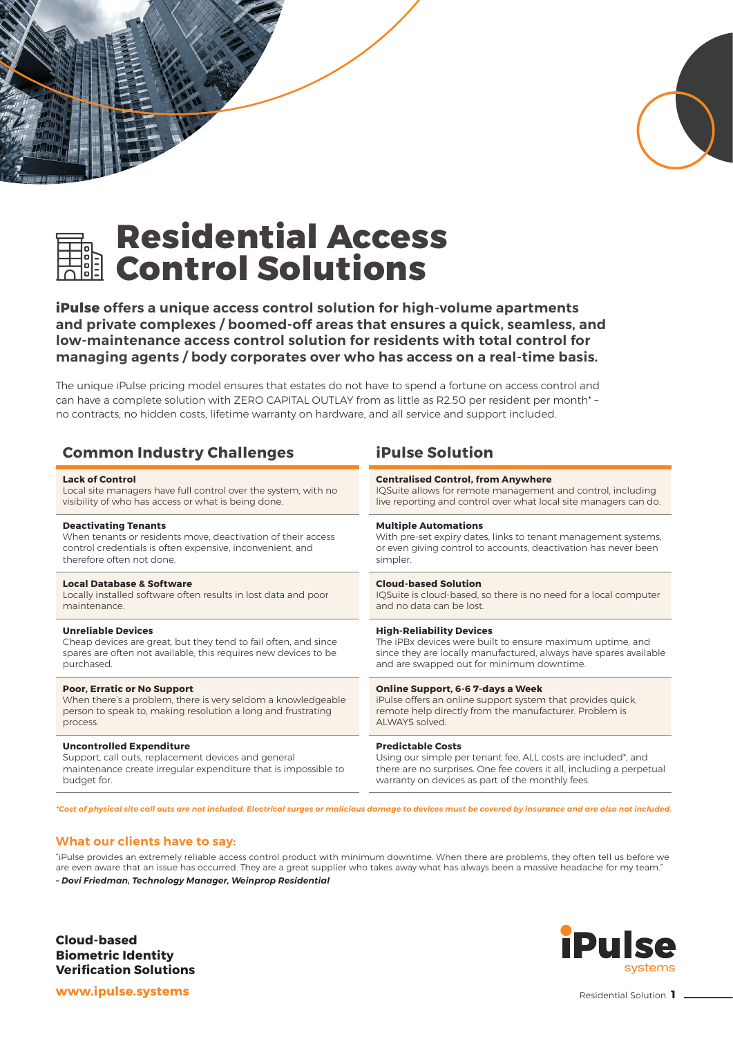



# **Residential Access Control Solutions**

**iPulse offers a unique access control solution for high-volume apartments and private complexes / boomed-off areas that ensures a quick, seamless, and low-maintenance access control solution for residents with total control for managing agents / body corporates over who has access on a real-time basis.**

The unique iPulse pricing model ensures that estates do not have to spend a fortune on access control and can have a complete solution with ZERO CAPITAL OUTLAY from as little as R2.50 per resident per month\* – no contracts, no hidden costs, lifetime warranty on hardware, and all service and support included.

| <b>Common Industry Challenges</b>                               | <b>iPulse Solution</b>                                               |
|-----------------------------------------------------------------|----------------------------------------------------------------------|
| <b>Lack of Control</b>                                          | <b>Centralised Control, from Anywhere</b>                            |
| Local site managers have full control over the system, with no  | IQSuite allows for remote management and control, including          |
| visibility of who has access or what is being done.             | live reporting and control over what local site managers can do.     |
| <b>Deactivating Tenants</b>                                     | <b>Multiple Automations</b>                                          |
| When tenants or residents move, deactivation of their access    | With pre-set expiry dates, links to tenant management systems,       |
| control credentials is often expensive, inconvenient, and       | or even giving control to accounts, deactivation has never been      |
| therefore often not done                                        | simpler.                                                             |
| <b>Local Database &amp; Software</b>                            | <b>Cloud-based Solution</b>                                          |
| Locally installed software often results in lost data and poor  | IQSuite is cloud-based, so there is no need for a local computer     |
| maintenance.                                                    | and no data can be lost.                                             |
| <b>Unreliable Devices</b>                                       | <b>High-Reliability Devices</b>                                      |
| Cheap devices are great, but they tend to fail often, and since | The iPBx devices were built to ensure maximum uptime, and            |
| spares are often not available, this requires new devices to be | since they are locally manufactured, always have spares available    |
| purchased.                                                      | and are swapped out for minimum downtime.                            |
| <b>Poor, Erratic or No Support</b>                              | <b>Online Support, 6-6 7-days a Week</b>                             |
| When there's a problem, there is very seldom a knowledgeable    | iPulse offers an online support system that provides quick,          |
| person to speak to, making resolution a long and frustrating    | remote help directly from the manufacturer. Problem is               |
| process.                                                        | ALWAYS solved.                                                       |
| <b>Uncontrolled Expenditure</b>                                 | <b>Predictable Costs</b>                                             |
| Support, call outs, replacement devices and general             | Using our simple per tenant fee, ALL costs are included*, and        |
| maintenance create irregular expenditure that is impossible to  | there are no surprises. One fee covers it all, including a perpetual |
| budget for.                                                     | warranty on devices as part of the monthly fees.                     |

*\*Cost of physical site call outs are not included. Electrical surges or malicious damage to devices must be covered by insurance and are also not included.*

### **What our clients have to say:**

"iPulse provides an extremely reliable access control product with minimum downtime. When there are problems, they often tell us before we are even aware that an issue has occurred. They are a great supplier who takes away what has always been a massive headache for my team." *– Dovi Friedman, Technology Manager, Weinprop Residential*

**Cloud-based Biometric Identity Verification Solutions**

### iPul systems

**www.ipulse.systems**

#### Residential Solution **1**